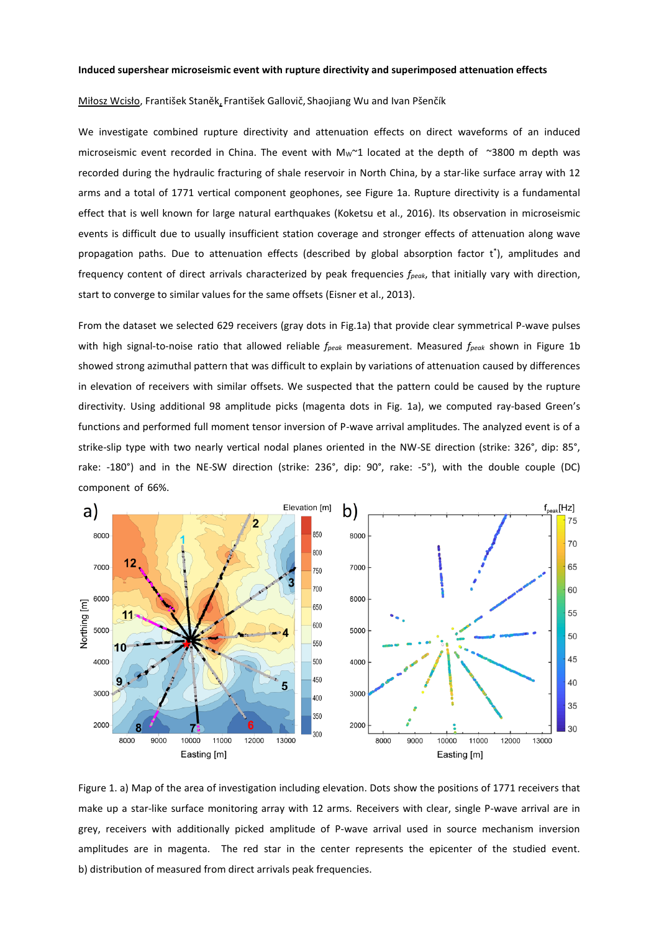## **Induced supershear microseismic event with rupture directivity and superimposed attenuation effects**

## Miłosz Wcisło, František Staněk, František Gallovič, Shaojiang Wu and Ivan Pšenčík

We investigate combined rupture directivity and attenuation effects on direct waveforms of an induced microseismic event recorded in China. The event with  $Mw^21$  located at the depth of  $\sim$ 3800 m depth was recorded during the hydraulic fracturing of shale reservoir in North China, by a star-like surface array with 12 arms and a total of 1771 vertical component geophones, see Figure 1a. Rupture directivity is a fundamental effect that is well known for large natural earthquakes (Koketsu et al., 2016). Its observation in microseismic events is difficult due to usually insufficient station coverage and stronger effects of attenuation along wave propagation paths. Due to attenuation effects (described by global absorption factor t<sup>\*</sup>), amplitudes and frequency content of direct arrivals characterized by peak frequencies *fpeak*, that initially vary with direction, start to converge to similar values for the same offsets (Eisner et al., 2013).

From the dataset we selected 629 receivers (gray dots in Fig.1a) that provide clear symmetrical P-wave pulses with high signal-to-noise ratio that allowed reliable *fpeak* measurement. Measured *fpeak* shown in Figure 1b showed strong azimuthal pattern that was difficult to explain by variations of attenuation caused by differences in elevation of receivers with similar offsets. We suspected that the pattern could be caused by the rupture directivity. Using additional 98 amplitude picks (magenta dots in Fig. 1a), we computed ray-based Green's functions and performed full moment tensor inversion of P-wave arrival amplitudes. The analyzed event is of a strike-slip type with two nearly vertical nodal planes oriented in the NW-SE direction (strike: 326°, dip: 85°, rake: -180°) and in the NE-SW direction (strike: 236°, dip: 90°, rake: -5°), with the double couple (DC) component of 66%.



Figure 1. a) Map of the area of investigation including elevation. Dots show the positions of 1771 receivers that make up a star-like surface monitoring array with 12 arms. Receivers with clear, single P-wave arrival are in grey, receivers with additionally picked amplitude of P-wave arrival used in source mechanism inversion amplitudes are in magenta. The red star in the center represents the epicenter of the studied event. b) distribution of measured from direct arrivals peak frequencies.